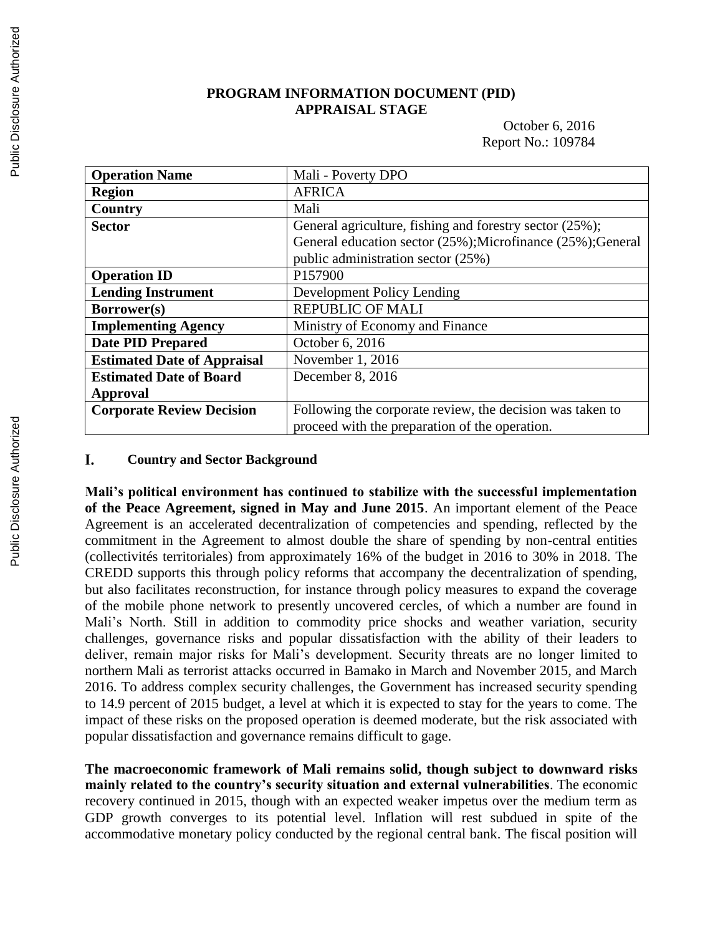## **PROGRAM INFORMATION DOCUMENT (PID) APPRAISAL STAGE**

### October 6, 2016 Report No.: 109784

| <b>Operation Name</b>              | Mali - Poverty DPO                                          |
|------------------------------------|-------------------------------------------------------------|
| <b>Region</b>                      | <b>AFRICA</b>                                               |
| Country                            | Mali                                                        |
| <b>Sector</b>                      | General agriculture, fishing and forestry sector (25%);     |
|                                    | General education sector (25%); Microfinance (25%); General |
|                                    | public administration sector (25%)                          |
| <b>Operation ID</b>                | P157900                                                     |
| <b>Lending Instrument</b>          | Development Policy Lending                                  |
| Borrower(s)                        | <b>REPUBLIC OF MALI</b>                                     |
| <b>Implementing Agency</b>         | Ministry of Economy and Finance                             |
| <b>Date PID Prepared</b>           | October 6, 2016                                             |
| <b>Estimated Date of Appraisal</b> | November 1, 2016                                            |
| <b>Estimated Date of Board</b>     | December 8, 2016                                            |
| Approval                           |                                                             |
| <b>Corporate Review Decision</b>   | Following the corporate review, the decision was taken to   |
|                                    | proceed with the preparation of the operation.              |

#### I. **Country and Sector Background**

**Mali's political environment has continued to stabilize with the successful implementation of the Peace Agreement, signed in May and June 2015**. An important element of the Peace Agreement is an accelerated decentralization of competencies and spending, reflected by the commitment in the Agreement to almost double the share of spending by non-central entities (collectivités territoriales) from approximately 16% of the budget in 2016 to 30% in 2018. The CREDD supports this through policy reforms that accompany the decentralization of spending, but also facilitates reconstruction, for instance through policy measures to expand the coverage of the mobile phone network to presently uncovered cercles, of which a number are found in Mali's North. Still in addition to commodity price shocks and weather variation, security challenges, governance risks and popular dissatisfaction with the ability of their leaders to deliver, remain major risks for Mali's development. Security threats are no longer limited to northern Mali as terrorist attacks occurred in Bamako in March and November 2015, and March 2016. To address complex security challenges, the Government has increased security spending to 14.9 percent of 2015 budget, a level at which it is expected to stay for the years to come. The impact of these risks on the proposed operation is deemed moderate, but the risk associated with popular dissatisfaction and governance remains difficult to gage.

**The macroeconomic framework of Mali remains solid, though subject to downward risks mainly related to the country's security situation and external vulnerabilities**. The economic recovery continued in 2015, though with an expected weaker impetus over the medium term as GDP growth converges to its potential level. Inflation will rest subdued in spite of the accommodative monetary policy conducted by the regional central bank. The fiscal position will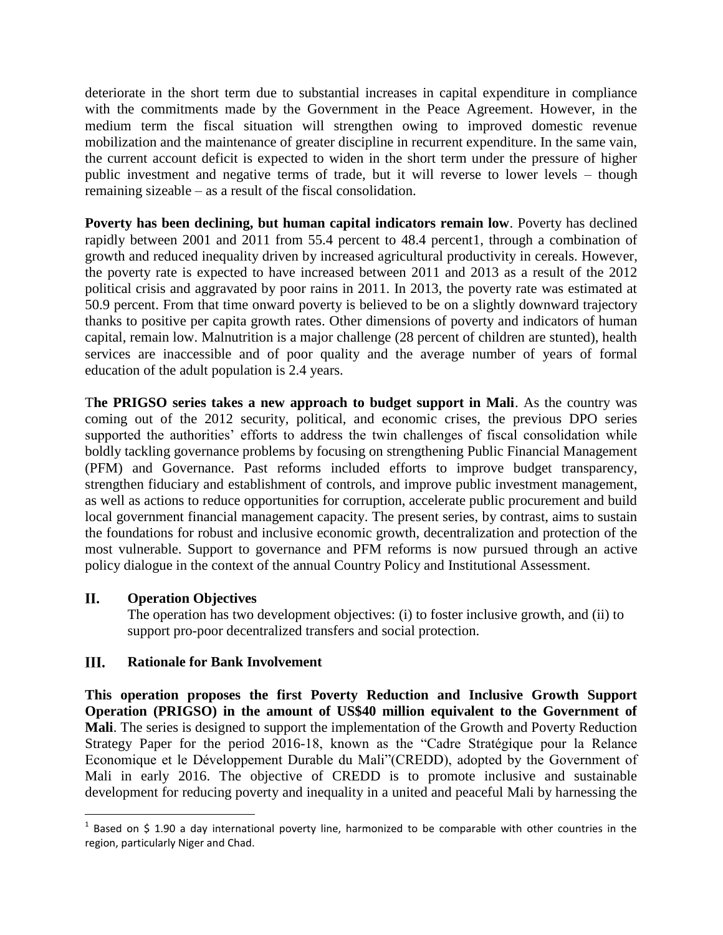deteriorate in the short term due to substantial increases in capital expenditure in compliance with the commitments made by the Government in the Peace Agreement. However, in the medium term the fiscal situation will strengthen owing to improved domestic revenue mobilization and the maintenance of greater discipline in recurrent expenditure. In the same vain, the current account deficit is expected to widen in the short term under the pressure of higher public investment and negative terms of trade, but it will reverse to lower levels – though remaining sizeable – as a result of the fiscal consolidation.

**Poverty has been declining, but human capital indicators remain low**. Poverty has declined rapidly between 2001 and 2011 from 55.4 percent to 48.4 percent1, through a combination of growth and reduced inequality driven by increased agricultural productivity in cereals. However, the poverty rate is expected to have increased between 2011 and 2013 as a result of the 2012 political crisis and aggravated by poor rains in 2011. In 2013, the poverty rate was estimated at 50.9 percent. From that time onward poverty is believed to be on a slightly downward trajectory thanks to positive per capita growth rates. Other dimensions of poverty and indicators of human capital, remain low. Malnutrition is a major challenge (28 percent of children are stunted), health services are inaccessible and of poor quality and the average number of years of formal education of the adult population is 2.4 years.

T**he PRIGSO series takes a new approach to budget support in Mali**. As the country was coming out of the 2012 security, political, and economic crises, the previous DPO series supported the authorities' efforts to address the twin challenges of fiscal consolidation while boldly tackling governance problems by focusing on strengthening Public Financial Management (PFM) and Governance. Past reforms included efforts to improve budget transparency, strengthen fiduciary and establishment of controls, and improve public investment management, as well as actions to reduce opportunities for corruption, accelerate public procurement and build local government financial management capacity. The present series, by contrast, aims to sustain the foundations for robust and inclusive economic growth, decentralization and protection of the most vulnerable. Support to governance and PFM reforms is now pursued through an active policy dialogue in the context of the annual Country Policy and Institutional Assessment.

#### II. **Operation Objectives**

 $\overline{a}$ 

The operation has two development objectives: (i) to foster inclusive growth, and (ii) to support pro-poor decentralized transfers and social protection.

#### III. **Rationale for Bank Involvement**

**This operation proposes the first Poverty Reduction and Inclusive Growth Support Operation (PRIGSO) in the amount of US\$40 million equivalent to the Government of Mali**. The series is designed to support the implementation of the Growth and Poverty Reduction Strategy Paper for the period 2016-18, known as the "Cadre Stratégique pour la Relance Economique et le Développement Durable du Mali"(CREDD), adopted by the Government of Mali in early 2016. The objective of CREDD is to promote inclusive and sustainable development for reducing poverty and inequality in a united and peaceful Mali by harnessing the

 $1$  Based on \$ 1.90 a day international poverty line, harmonized to be comparable with other countries in the region, particularly Niger and Chad.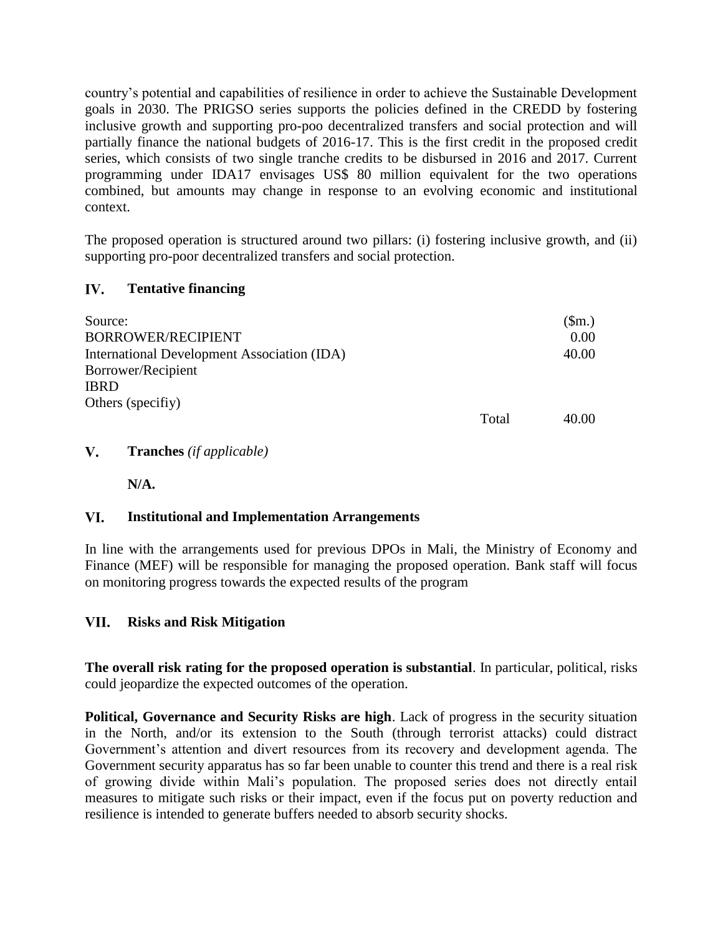country's potential and capabilities of resilience in order to achieve the Sustainable Development goals in 2030. The PRIGSO series supports the policies defined in the CREDD by fostering inclusive growth and supporting pro-poo decentralized transfers and social protection and will partially finance the national budgets of 2016-17. This is the first credit in the proposed credit series, which consists of two single tranche credits to be disbursed in 2016 and 2017. Current programming under IDA17 envisages US\$ 80 million equivalent for the two operations combined, but amounts may change in response to an evolving economic and institutional context.

The proposed operation is structured around two pillars: (i) fostering inclusive growth, and (ii) supporting pro-poor decentralized transfers and social protection.

#### IV. **Tentative financing**

| Source:                                     |       | \$m.) |
|---------------------------------------------|-------|-------|
| BORROWER/RECIPIENT                          |       | 0.00  |
| International Development Association (IDA) |       | 40.00 |
| Borrower/Recipient                          |       |       |
| <b>IBRD</b>                                 |       |       |
| Others (specifiy)                           |       |       |
|                                             | Total | 40.00 |

#### $V_{\cdot}$ **Tranches** *(if applicable)*

**N/A.**

#### **Institutional and Implementation Arrangements** VI.

In line with the arrangements used for previous DPOs in Mali, the Ministry of Economy and Finance (MEF) will be responsible for managing the proposed operation. Bank staff will focus on monitoring progress towards the expected results of the program

#### VII. **Risks and Risk Mitigation**

**The overall risk rating for the proposed operation is substantial**. In particular, political, risks could jeopardize the expected outcomes of the operation.

**Political, Governance and Security Risks are high**. Lack of progress in the security situation in the North, and/or its extension to the South (through terrorist attacks) could distract Government's attention and divert resources from its recovery and development agenda. The Government security apparatus has so far been unable to counter this trend and there is a real risk of growing divide within Mali's population. The proposed series does not directly entail measures to mitigate such risks or their impact, even if the focus put on poverty reduction and resilience is intended to generate buffers needed to absorb security shocks.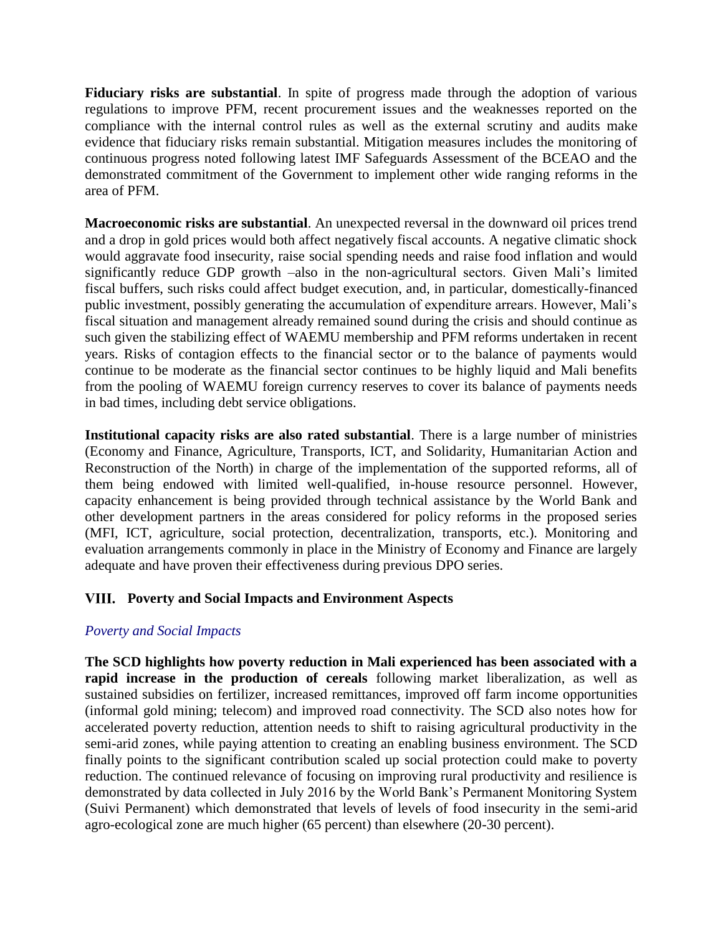Fiduciary risks are substantial. In spite of progress made through the adoption of various regulations to improve PFM, recent procurement issues and the weaknesses reported on the compliance with the internal control rules as well as the external scrutiny and audits make evidence that fiduciary risks remain substantial. Mitigation measures includes the monitoring of continuous progress noted following latest IMF Safeguards Assessment of the BCEAO and the demonstrated commitment of the Government to implement other wide ranging reforms in the area of PFM.

**Macroeconomic risks are substantial**. An unexpected reversal in the downward oil prices trend and a drop in gold prices would both affect negatively fiscal accounts. A negative climatic shock would aggravate food insecurity, raise social spending needs and raise food inflation and would significantly reduce GDP growth –also in the non-agricultural sectors. Given Mali's limited fiscal buffers, such risks could affect budget execution, and, in particular, domestically-financed public investment, possibly generating the accumulation of expenditure arrears. However, Mali's fiscal situation and management already remained sound during the crisis and should continue as such given the stabilizing effect of WAEMU membership and PFM reforms undertaken in recent years. Risks of contagion effects to the financial sector or to the balance of payments would continue to be moderate as the financial sector continues to be highly liquid and Mali benefits from the pooling of WAEMU foreign currency reserves to cover its balance of payments needs in bad times, including debt service obligations.

**Institutional capacity risks are also rated substantial**. There is a large number of ministries (Economy and Finance, Agriculture, Transports, ICT, and Solidarity, Humanitarian Action and Reconstruction of the North) in charge of the implementation of the supported reforms, all of them being endowed with limited well-qualified, in-house resource personnel. However, capacity enhancement is being provided through technical assistance by the World Bank and other development partners in the areas considered for policy reforms in the proposed series (MFI, ICT, agriculture, social protection, decentralization, transports, etc.). Monitoring and evaluation arrangements commonly in place in the Ministry of Economy and Finance are largely adequate and have proven their effectiveness during previous DPO series.

# **Poverty and Social Impacts and Environment Aspects**

# *Poverty and Social Impacts*

**The SCD highlights how poverty reduction in Mali experienced has been associated with a rapid increase in the production of cereals** following market liberalization, as well as sustained subsidies on fertilizer, increased remittances, improved off farm income opportunities (informal gold mining; telecom) and improved road connectivity. The SCD also notes how for accelerated poverty reduction, attention needs to shift to raising agricultural productivity in the semi-arid zones, while paying attention to creating an enabling business environment. The SCD finally points to the significant contribution scaled up social protection could make to poverty reduction. The continued relevance of focusing on improving rural productivity and resilience is demonstrated by data collected in July 2016 by the World Bank's Permanent Monitoring System (Suivi Permanent) which demonstrated that levels of levels of food insecurity in the semi-arid agro-ecological zone are much higher (65 percent) than elsewhere (20-30 percent).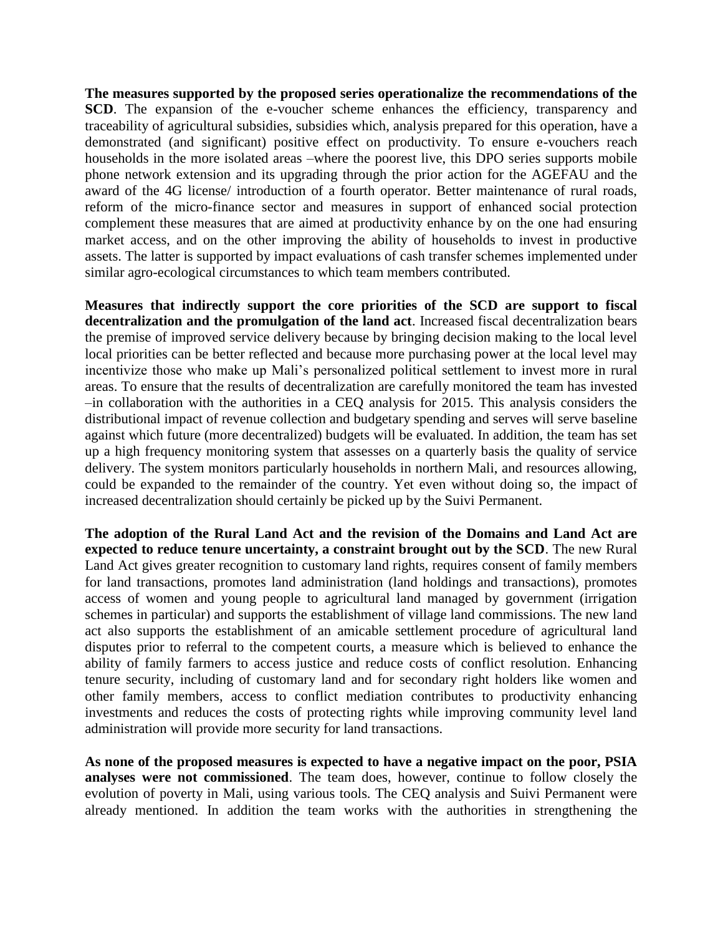**The measures supported by the proposed series operationalize the recommendations of the SCD**. The expansion of the e-voucher scheme enhances the efficiency, transparency and traceability of agricultural subsidies, subsidies which, analysis prepared for this operation, have a demonstrated (and significant) positive effect on productivity. To ensure e-vouchers reach households in the more isolated areas –where the poorest live, this DPO series supports mobile phone network extension and its upgrading through the prior action for the AGEFAU and the award of the 4G license/ introduction of a fourth operator. Better maintenance of rural roads, reform of the micro-finance sector and measures in support of enhanced social protection complement these measures that are aimed at productivity enhance by on the one had ensuring market access, and on the other improving the ability of households to invest in productive assets. The latter is supported by impact evaluations of cash transfer schemes implemented under similar agro-ecological circumstances to which team members contributed.

**Measures that indirectly support the core priorities of the SCD are support to fiscal decentralization and the promulgation of the land act**. Increased fiscal decentralization bears the premise of improved service delivery because by bringing decision making to the local level local priorities can be better reflected and because more purchasing power at the local level may incentivize those who make up Mali's personalized political settlement to invest more in rural areas. To ensure that the results of decentralization are carefully monitored the team has invested –in collaboration with the authorities in a CEQ analysis for 2015. This analysis considers the distributional impact of revenue collection and budgetary spending and serves will serve baseline against which future (more decentralized) budgets will be evaluated. In addition, the team has set up a high frequency monitoring system that assesses on a quarterly basis the quality of service delivery. The system monitors particularly households in northern Mali, and resources allowing, could be expanded to the remainder of the country. Yet even without doing so, the impact of increased decentralization should certainly be picked up by the Suivi Permanent.

**The adoption of the Rural Land Act and the revision of the Domains and Land Act are expected to reduce tenure uncertainty, a constraint brought out by the SCD**. The new Rural Land Act gives greater recognition to customary land rights, requires consent of family members for land transactions, promotes land administration (land holdings and transactions), promotes access of women and young people to agricultural land managed by government (irrigation schemes in particular) and supports the establishment of village land commissions. The new land act also supports the establishment of an amicable settlement procedure of agricultural land disputes prior to referral to the competent courts, a measure which is believed to enhance the ability of family farmers to access justice and reduce costs of conflict resolution. Enhancing tenure security, including of customary land and for secondary right holders like women and other family members, access to conflict mediation contributes to productivity enhancing investments and reduces the costs of protecting rights while improving community level land administration will provide more security for land transactions.

**As none of the proposed measures is expected to have a negative impact on the poor, PSIA analyses were not commissioned**. The team does, however, continue to follow closely the evolution of poverty in Mali, using various tools. The CEQ analysis and Suivi Permanent were already mentioned. In addition the team works with the authorities in strengthening the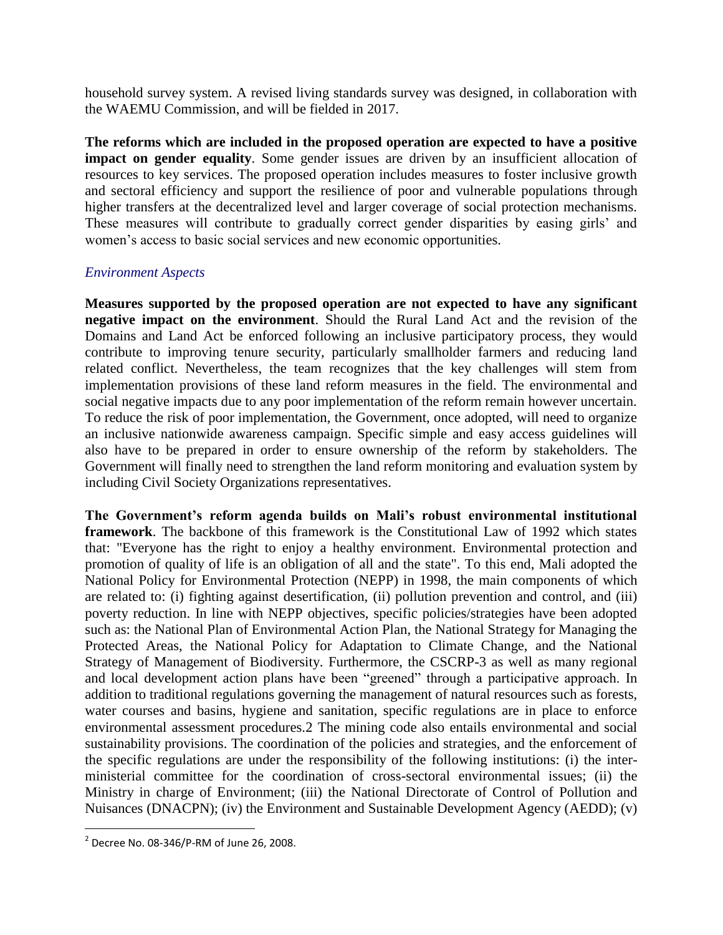household survey system. A revised living standards survey was designed, in collaboration with the WAEMU Commission, and will be fielded in 2017.

**The reforms which are included in the proposed operation are expected to have a positive impact on gender equality**. Some gender issues are driven by an insufficient allocation of resources to key services. The proposed operation includes measures to foster inclusive growth and sectoral efficiency and support the resilience of poor and vulnerable populations through higher transfers at the decentralized level and larger coverage of social protection mechanisms. These measures will contribute to gradually correct gender disparities by easing girls' and women's access to basic social services and new economic opportunities.

## *Environment Aspects*

**Measures supported by the proposed operation are not expected to have any significant negative impact on the environment**. Should the Rural Land Act and the revision of the Domains and Land Act be enforced following an inclusive participatory process, they would contribute to improving tenure security, particularly smallholder farmers and reducing land related conflict. Nevertheless, the team recognizes that the key challenges will stem from implementation provisions of these land reform measures in the field. The environmental and social negative impacts due to any poor implementation of the reform remain however uncertain. To reduce the risk of poor implementation, the Government, once adopted, will need to organize an inclusive nationwide awareness campaign. Specific simple and easy access guidelines will also have to be prepared in order to ensure ownership of the reform by stakeholders. The Government will finally need to strengthen the land reform monitoring and evaluation system by including Civil Society Organizations representatives.

**The Government's reform agenda builds on Mali's robust environmental institutional framework**. The backbone of this framework is the Constitutional Law of 1992 which states that: "Everyone has the right to enjoy a healthy environment. Environmental protection and promotion of quality of life is an obligation of all and the state". To this end, Mali adopted the National Policy for Environmental Protection (NEPP) in 1998, the main components of which are related to: (i) fighting against desertification, (ii) pollution prevention and control, and (iii) poverty reduction. In line with NEPP objectives, specific policies/strategies have been adopted such as: the National Plan of Environmental Action Plan, the National Strategy for Managing the Protected Areas, the National Policy for Adaptation to Climate Change, and the National Strategy of Management of Biodiversity. Furthermore, the CSCRP-3 as well as many regional and local development action plans have been "greened" through a participative approach. In addition to traditional regulations governing the management of natural resources such as forests, water courses and basins, hygiene and sanitation, specific regulations are in place to enforce environmental assessment procedures.2 The mining code also entails environmental and social sustainability provisions. The coordination of the policies and strategies, and the enforcement of the specific regulations are under the responsibility of the following institutions: (i) the interministerial committee for the coordination of cross-sectoral environmental issues; (ii) the Ministry in charge of Environment; (iii) the National Directorate of Control of Pollution and Nuisances (DNACPN); (iv) the Environment and Sustainable Development Agency (AEDD); (v)

 $\overline{a}$ 

 $2^{2}$  Decree No. 08-346/P-RM of June 26, 2008.